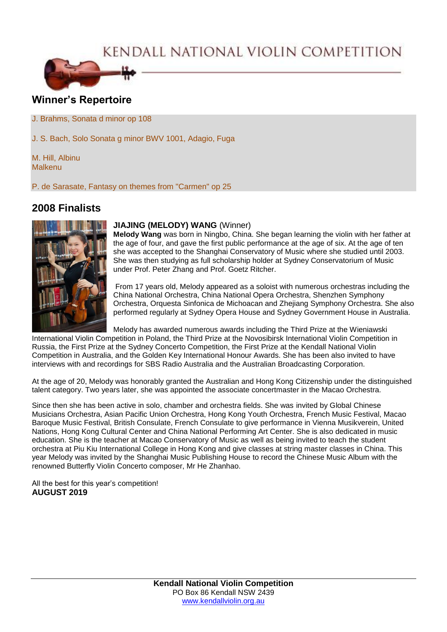# KENDALL NATIONAL VIOLIN COMPETITION



# **Winner's Repertoire**

J. Brahms, Sonata d minor op 108

J. S. Bach, Solo Sonata g minor BWV 1001, Adagio, Fuga

M. Hill, Albinu Malkenu

P. de Sarasate, Fantasy on themes from "Carmen" op 25

## **2008 Finalists**



#### **JIAJING (MELODY) WANG** (Winner)

**Melody Wang** was born in Ningbo, China. She began learning the violin with her father at the age of four, and gave the first public performance at the age of six. At the age of ten she was accepted to the Shanghai Conservatory of Music where she studied until 2003. She was then studying as full scholarship holder at Sydney Conservatorium of Music under Prof. Peter Zhang and Prof. Goetz Ritcher.

From 17 years old, Melody appeared as a soloist with numerous orchestras including the China National Orchestra, China National Opera Orchestra, Shenzhen Symphony Orchestra, Orquesta Sinfonica de Michoacan and Zhejiang Symphony Orchestra. She also performed regularly at Sydney Opera House and Sydney Government House in Australia.

Melody has awarded numerous awards including the Third Prize at the Wieniawski

International Violin Competition in Poland, the Third Prize at the Novosibirsk International Violin Competition in Russia, the First Prize at the Sydney Concerto Competition, the First Prize at the Kendall National Violin Competition in Australia, and the Golden Key International Honour Awards. She has been also invited to have interviews with and recordings for SBS Radio Australia and the Australian Broadcasting Corporation.

At the age of 20, Melody was honorably granted the Australian and Hong Kong Citizenship under the distinguished talent category. Two years later, she was appointed the associate concertmaster in the Macao Orchestra.

Since then she has been active in solo, chamber and orchestra fields. She was invited by Global Chinese Musicians Orchestra, Asian Pacific Union Orchestra, Hong Kong Youth Orchestra, French Music Festival, Macao Baroque Music Festival, British Consulate, French Consulate to give performance in Vienna Musikverein, United Nations, Hong Kong Cultural Center and China National Performing Art Center. She is also dedicated in music education. She is the teacher at Macao Conservatory of Music as well as being invited to teach the student orchestra at Piu Kiu International College in Hong Kong and give classes at string master classes in China. This year Melody was invited by the Shanghai Music Publishing House to record the Chinese Music Album with the renowned Butterfly Violin Concerto composer, Mr He Zhanhao.

All the best for this year's competition! **AUGUST 2019**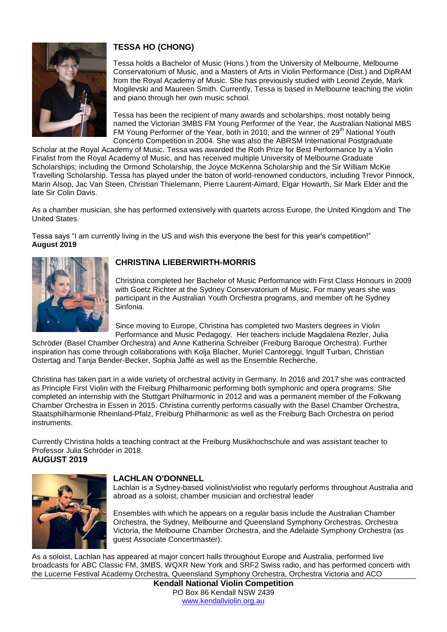

## **TESSA HO (CHONG)**

Tessa holds a Bachelor of Music (Hons.) from the University of Melbourne, Melbourne Conservatorium of Music, and a Masters of Arts in Violin Performance (Dist.) and DipRAM from the Royal Academy of Music. She has previously studied with Leonid Zeyde, Mark Mogilevski and Maureen Smith. Currently, Tessa is based in Melbourne teaching the violin and piano through her own music school.

Tessa has been the recipient of many awards and scholarships, most notably being named the Victorian 3MBS FM Young Performer of the Year, the Australian National MBS FM Young Performer of the Year, both in 2010, and the winner of 29<sup>th</sup> National Youth Concerto Competition in 2004. She was also the ABRSM International Postgraduate

Scholar at the Royal Academy of Music. Tessa was awarded the Roth Prize for Best Performance by a Violin Finalist from the Royal Academy of Music, and has received multiple University of Melbourne Graduate Scholarships; including the Ormond Scholarship, the Joyce McKenna Scholarship and the Sir William McKie Travelling Scholarship. Tessa has played under the baton of world-renowned conductors, including Trevor Pinnock, Marin Alsop, Jac Van Steen, Christian Thielemann, Pierre Laurent-Aimard, Elgar Howarth, Sir Mark Elder and the late Sir Colin Davis.

As a chamber musician, she has performed extensively with quartets across Europe, the United Kingdom and The United States.

Tessa says "I am currently living in the US and wish this everyone the best for this year's competition!" **August 2019**



### **CHRISTINA LIEBERWIRTH-MORRIS**

Christina completed her Bachelor of Music Performance with First Class Honours in 2009 with Goetz Richter at the Sydney Conservatorium of Music. For many years she was participant in the Australian Youth Orchestra programs, and member oft he Sydney Sinfonia.

Since moving to Europe, Christina has completed two Masters degrees in Violin Performance and Music Pedagogy. Her teachers include Magdalena Rezler, Julia

Schröder (Basel Chamber Orchestra) and Anne Katherina Schreiber (Freiburg Baroque Orchestra). Further inspiration has come through collaborations with Kolja Blacher, Muriel Cantoreggi, Ingulf Turban, Christian Ostertag and Tanja Bender-Becker, Sophia Jaffé as well as the Ensemble Recherche.

Christina has taken part in a wide variety of orchestral activity in Germany. In 2016 and 2017 she was contracted as Principle First Violin with the Freiburg Philharmonic performing both symphonic and opera programs. She completed an internship with the Stuttgart Philharmonic in 2012 and was a permanent member of the Folkwang Chamber Orchestra in Essen in 2015. Christina currently performs casually with the Basel Chamber Orchestra, Staatsphilharmonie Rheinland-Pfalz, Freiburg Philharmonic as well as the Freiburg Bach Orchestra on period instruments.

Currently Christina holds a teaching contract at the Freiburg Musikhochschule and was assistant teacher to Professor Julia Schröder in 2018. **AUGUST 2019**



### **LACHLAN O'DONNELL**

Lachlan is a Sydney-based violinist/violist who regularly performs throughout Australia and abroad as a soloist, chamber musician and orchestral leader

Ensembles with which he appears on a regular basis include the Australian Chamber Orchestra, the Sydney, Melbourne and Queensland Symphony Orchestras, Orchestra Victoria, the Melbourne Chamber Orchestra, and the Adelaide Symphony Orchestra (as guest Associate Concertmaster).

As a soloist, Lachlan has appeared at major concert halls throughout Europe and Australia, performed live broadcasts for ABC Classic FM, 3MBS, WQXR New York and SRF2 Swiss radio, and has performed concerti with the Lucerne Festival Academy Orchestra, Queensland Symphony Orchestra, Orchestra Victoria and ACO

**Kendall National Violin Competition** PO Box 86 Kendall NSW 2439 [www.kendallviolin.org.au](http://www.kendallviolin.org.au/)